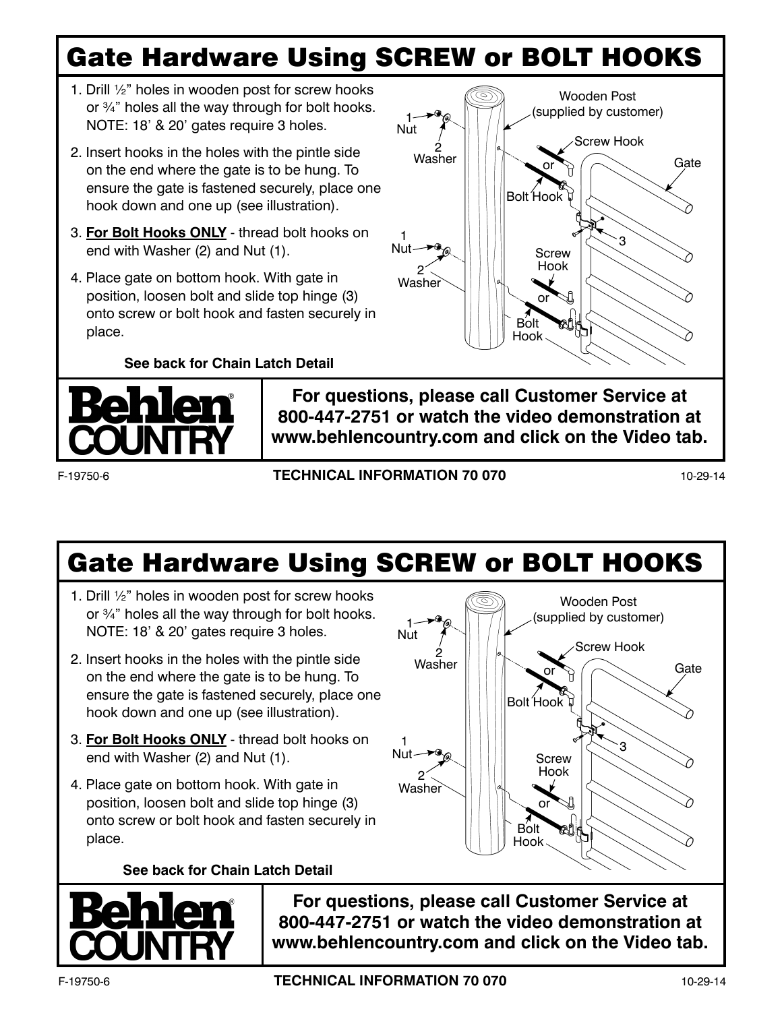## Gate Hardware Using SCREW or BOLT HOOKS

Nut 1

1

Nut

2

**Washer** 

2 Washer

- 1. Drill ½" holes in wooden post for screw hooks or ¾" holes all the way through for bolt hooks. NOTE: 18' & 20' gates require 3 holes.
- 2. Insert hooks in the holes with the pintle side on the end where the gate is to be hung. To ensure the gate is fastened securely, place one hook down and one up (see illustration).
- 3. **For Bolt Hooks ONLY** thread bolt hooks on end with Washer (2) and Nut (1).
- 4. Place gate on bottom hook. With gate in position, loosen bolt and slide top hinge (3) onto screw or bolt hook and fasten securely in place.

**See back for Chain Latch Detail**



**For questions, please call Customer Service at 800-447-2751 or watch the video demonstration at www.behlencountry.com and click on the Video tab.**

F-19750-6 **TECHNICAL INFORMATION 70 070** 10-29-14

Gate

Gate

Wooden Post (supplied by customer)

Wooden Post (supplied by customer)

Screw Hook

3

**Screw** Hook

or

Bolt Hook

Bolt Hook

or

Screw Hook

3

**Screw** Hook

Bolt Hook

Bolt Hook

or

or

## Gate Hardware Using SCREW or BOLT HOOKS

Nut 1

1

Nut

2

Washer

2 Washer

- 1. Drill ½" holes in wooden post for screw hooks or ¾" holes all the way through for bolt hooks. NOTE: 18' & 20' gates require 3 holes.
- 2. Insert hooks in the holes with the pintle side on the end where the gate is to be hung. To ensure the gate is fastened securely, place one hook down and one up (see illustration).
- 3. **For Bolt Hooks ONLY** thread bolt hooks on end with Washer (2) and Nut (1).
- 4. Place gate on bottom hook. With gate in position, loosen bolt and slide top hinge (3) onto screw or bolt hook and fasten securely in place.

**See back for Chain Latch Detail**



**For questions, please call Customer Service at 800-447-2751 or watch the video demonstration at www.behlencountry.com and click on the Video tab.**